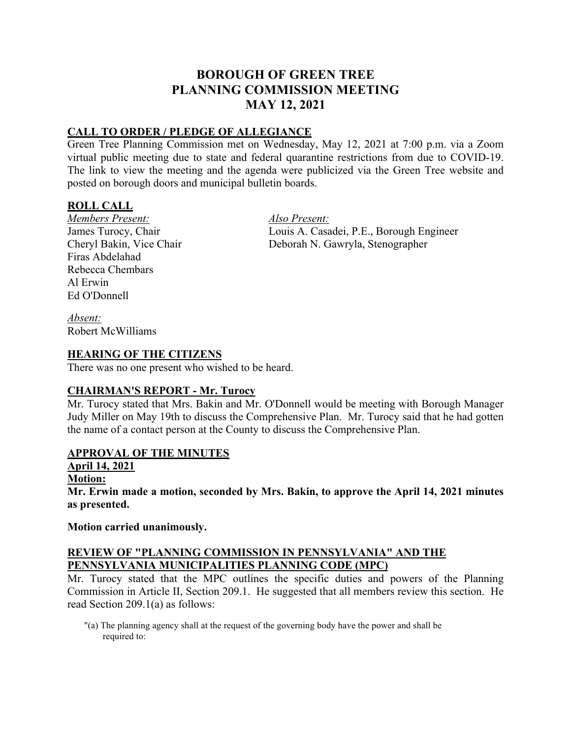# **BOROUGH OF GREEN TREE PLANNING COMMISSION MEETING MAY 12, 2021**

## **CALL TO ORDER / PLEDGE OF ALLEGIANCE**

Green Tree Planning Commission met on Wednesday, May 12, 2021 at 7:00 p.m. via a Zoom virtual public meeting due to state and federal quarantine restrictions from due to COVID-19. The link to view the meeting and the agenda were publicized via the Green Tree website and posted on borough doors and municipal bulletin boards.

## **ROLL CALL**

*Members Present: Also Present:* Firas Abdelahad Rebecca Chembars Al Erwin Ed O'Donnell

James Turocy, Chair Louis A. Casadei, P.E., Borough Engineer Cheryl Bakin, Vice Chair Deborah N. Gawryla, Stenographer

*Absent:* Robert McWilliams

#### **HEARING OF THE CITIZENS**

There was no one present who wished to be heard.

## **CHAIRMAN'S REPORT - Mr. Turocy**

Mr. Turocy stated that Mrs. Bakin and Mr. O'Donnell would be meeting with Borough Manager Judy Miller on May 19th to discuss the Comprehensive Plan. Mr. Turocy said that he had gotten the name of a contact person at the County to discuss the Comprehensive Plan.

## **APPROVAL OF THE MINUTES**

**April 14, 2021**

#### **Motion:**

**Mr. Erwin made a motion, seconded by Mrs. Bakin, to approve the April 14, 2021 minutes as presented.**

#### **Motion carried unanimously.**

## **REVIEW OF "PLANNING COMMISSION IN PENNSYLVANIA" AND THE PENNSYLVANIA MUNICIPALITIES PLANNING CODE (MPC)**

Mr. Turocy stated that the MPC outlines the specific duties and powers of the Planning Commission in Article II, Section 209.1. He suggested that all members review this section. He read Section 209.1(a) as follows:

"(a) The planning agency shall at the request of the governing body have the power and shall be required to: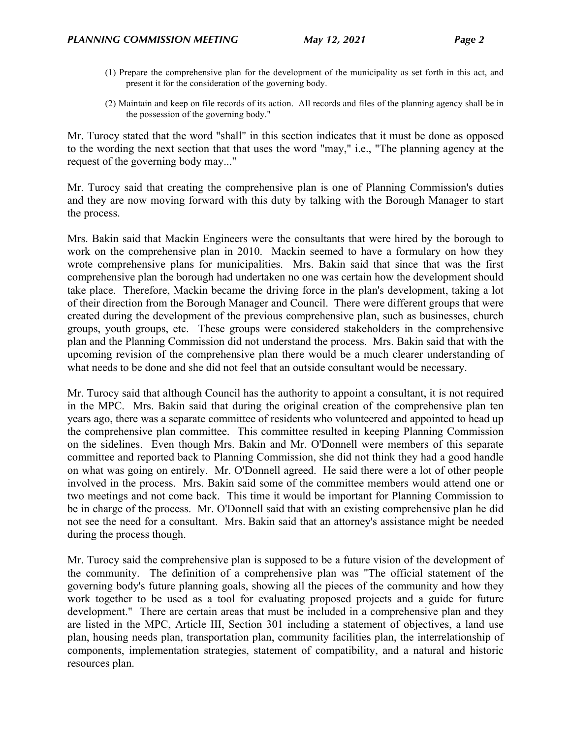- (1) Prepare the comprehensive plan for the development of the municipality as set forth in this act, and present it for the consideration of the governing body.
- (2) Maintain and keep on file records of its action. All records and files of the planning agency shall be in the possession of the governing body."

Mr. Turocy stated that the word "shall" in this section indicates that it must be done as opposed to the wording the next section that that uses the word "may," i.e., "The planning agency at the request of the governing body may..."

Mr. Turocy said that creating the comprehensive plan is one of Planning Commission's duties and they are now moving forward with this duty by talking with the Borough Manager to start the process.

Mrs. Bakin said that Mackin Engineers were the consultants that were hired by the borough to work on the comprehensive plan in 2010. Mackin seemed to have a formulary on how they wrote comprehensive plans for municipalities. Mrs. Bakin said that since that was the first comprehensive plan the borough had undertaken no one was certain how the development should take place. Therefore, Mackin became the driving force in the plan's development, taking a lot of their direction from the Borough Manager and Council. There were different groups that were created during the development of the previous comprehensive plan, such as businesses, church groups, youth groups, etc. These groups were considered stakeholders in the comprehensive plan and the Planning Commission did not understand the process. Mrs. Bakin said that with the upcoming revision of the comprehensive plan there would be a much clearer understanding of what needs to be done and she did not feel that an outside consultant would be necessary.

Mr. Turocy said that although Council has the authority to appoint a consultant, it is not required in the MPC. Mrs. Bakin said that during the original creation of the comprehensive plan ten years ago, there was a separate committee of residents who volunteered and appointed to head up the comprehensive plan committee. This committee resulted in keeping Planning Commission on the sidelines. Even though Mrs. Bakin and Mr. O'Donnell were members of this separate committee and reported back to Planning Commission, she did not think they had a good handle on what was going on entirely. Mr. O'Donnell agreed. He said there were a lot of other people involved in the process. Mrs. Bakin said some of the committee members would attend one or two meetings and not come back. This time it would be important for Planning Commission to be in charge of the process. Mr. O'Donnell said that with an existing comprehensive plan he did not see the need for a consultant. Mrs. Bakin said that an attorney's assistance might be needed during the process though.

Mr. Turocy said the comprehensive plan is supposed to be a future vision of the development of the community. The definition of a comprehensive plan was "The official statement of the governing body's future planning goals, showing all the pieces of the community and how they work together to be used as a tool for evaluating proposed projects and a guide for future development." There are certain areas that must be included in a comprehensive plan and they are listed in the MPC, Article III, Section 301 including a statement of objectives, a land use plan, housing needs plan, transportation plan, community facilities plan, the interrelationship of components, implementation strategies, statement of compatibility, and a natural and historic resources plan.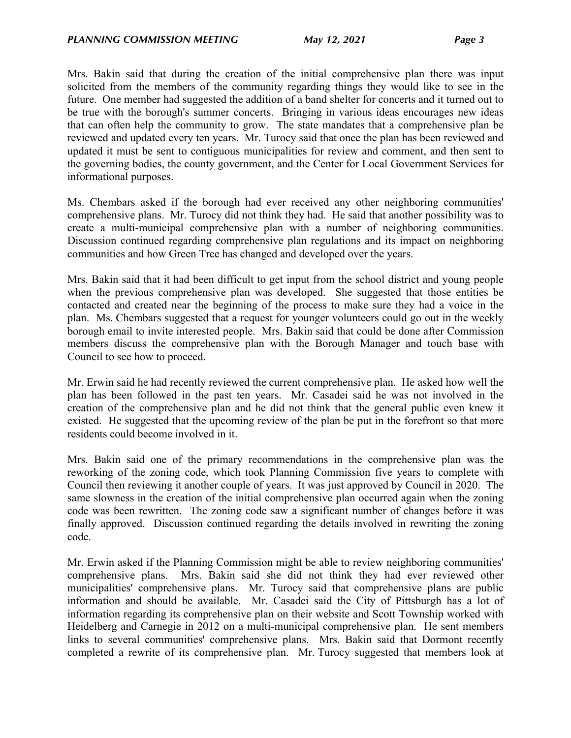Mrs. Bakin said that during the creation of the initial comprehensive plan there was input solicited from the members of the community regarding things they would like to see in the future. One member had suggested the addition of a band shelter for concerts and it turned out to be true with the borough's summer concerts. Bringing in various ideas encourages new ideas that can often help the community to grow. The state mandates that a comprehensive plan be reviewed and updated every ten years. Mr. Turocy said that once the plan has been reviewed and updated it must be sent to contiguous municipalities for review and comment, and then sent to the governing bodies, the county government, and the Center for Local Government Services for informational purposes.

Ms. Chembars asked if the borough had ever received any other neighboring communities' comprehensive plans. Mr. Turocy did not think they had. He said that another possibility was to create a multi-municipal comprehensive plan with a number of neighboring communities. Discussion continued regarding comprehensive plan regulations and its impact on neighboring communities and how Green Tree has changed and developed over the years.

Mrs. Bakin said that it had been difficult to get input from the school district and young people when the previous comprehensive plan was developed. She suggested that those entities be contacted and created near the beginning of the process to make sure they had a voice in the plan. Ms. Chembars suggested that a request for younger volunteers could go out in the weekly borough email to invite interested people. Mrs. Bakin said that could be done after Commission members discuss the comprehensive plan with the Borough Manager and touch base with Council to see how to proceed.

Mr. Erwin said he had recently reviewed the current comprehensive plan. He asked how well the plan has been followed in the past ten years. Mr. Casadei said he was not involved in the creation of the comprehensive plan and he did not think that the general public even knew it existed. He suggested that the upcoming review of the plan be put in the forefront so that more residents could become involved in it.

Mrs. Bakin said one of the primary recommendations in the comprehensive plan was the reworking of the zoning code, which took Planning Commission five years to complete with Council then reviewing it another couple of years. It was just approved by Council in 2020. The same slowness in the creation of the initial comprehensive plan occurred again when the zoning code was been rewritten. The zoning code saw a significant number of changes before it was finally approved. Discussion continued regarding the details involved in rewriting the zoning code.

Mr. Erwin asked if the Planning Commission might be able to review neighboring communities' comprehensive plans. Mrs. Bakin said she did not think they had ever reviewed other municipalities' comprehensive plans. Mr. Turocy said that comprehensive plans are public information and should be available. Mr. Casadei said the City of Pittsburgh has a lot of information regarding its comprehensive plan on their website and Scott Township worked with Heidelberg and Carnegie in 2012 on a multi-municipal comprehensive plan. He sent members links to several communities' comprehensive plans. Mrs. Bakin said that Dormont recently completed a rewrite of its comprehensive plan. Mr. Turocy suggested that members look at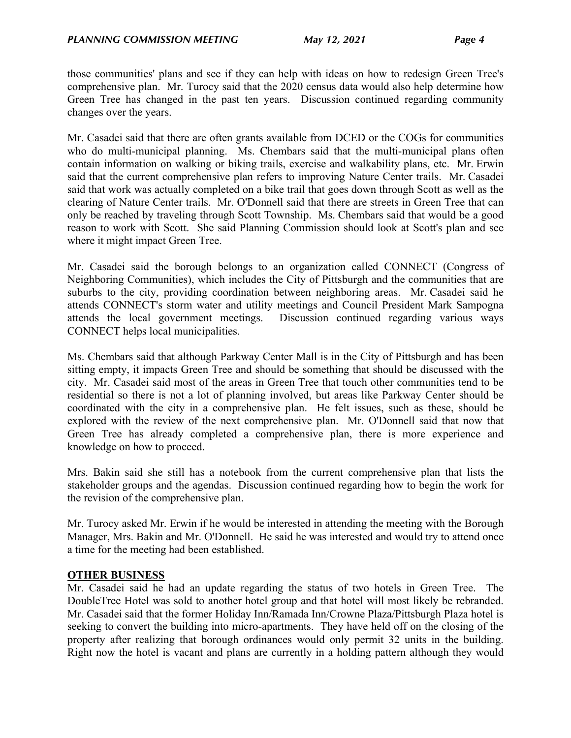those communities' plans and see if they can help with ideas on how to redesign Green Tree's comprehensive plan. Mr. Turocy said that the 2020 census data would also help determine how Green Tree has changed in the past ten years. Discussion continued regarding community changes over the years.

Mr. Casadei said that there are often grants available from DCED or the COGs for communities who do multi-municipal planning. Ms. Chembars said that the multi-municipal plans often contain information on walking or biking trails, exercise and walkability plans, etc. Mr. Erwin said that the current comprehensive plan refers to improving Nature Center trails. Mr. Casadei said that work was actually completed on a bike trail that goes down through Scott as well as the clearing of Nature Center trails. Mr. O'Donnell said that there are streets in Green Tree that can only be reached by traveling through Scott Township. Ms. Chembars said that would be a good reason to work with Scott. She said Planning Commission should look at Scott's plan and see where it might impact Green Tree.

Mr. Casadei said the borough belongs to an organization called CONNECT (Congress of Neighboring Communities), which includes the City of Pittsburgh and the communities that are suburbs to the city, providing coordination between neighboring areas. Mr. Casadei said he attends CONNECT's storm water and utility meetings and Council President Mark Sampogna attends the local government meetings. Discussion continued regarding various ways CONNECT helps local municipalities.

Ms. Chembars said that although Parkway Center Mall is in the City of Pittsburgh and has been sitting empty, it impacts Green Tree and should be something that should be discussed with the city. Mr. Casadei said most of the areas in Green Tree that touch other communities tend to be residential so there is not a lot of planning involved, but areas like Parkway Center should be coordinated with the city in a comprehensive plan. He felt issues, such as these, should be explored with the review of the next comprehensive plan. Mr. O'Donnell said that now that Green Tree has already completed a comprehensive plan, there is more experience and knowledge on how to proceed.

Mrs. Bakin said she still has a notebook from the current comprehensive plan that lists the stakeholder groups and the agendas. Discussion continued regarding how to begin the work for the revision of the comprehensive plan.

Mr. Turocy asked Mr. Erwin if he would be interested in attending the meeting with the Borough Manager, Mrs. Bakin and Mr. O'Donnell. He said he was interested and would try to attend once a time for the meeting had been established.

## **OTHER BUSINESS**

Mr. Casadei said he had an update regarding the status of two hotels in Green Tree. The DoubleTree Hotel was sold to another hotel group and that hotel will most likely be rebranded. Mr. Casadei said that the former Holiday Inn/Ramada Inn/Crowne Plaza/Pittsburgh Plaza hotel is seeking to convert the building into micro-apartments. They have held off on the closing of the property after realizing that borough ordinances would only permit 32 units in the building. Right now the hotel is vacant and plans are currently in a holding pattern although they would